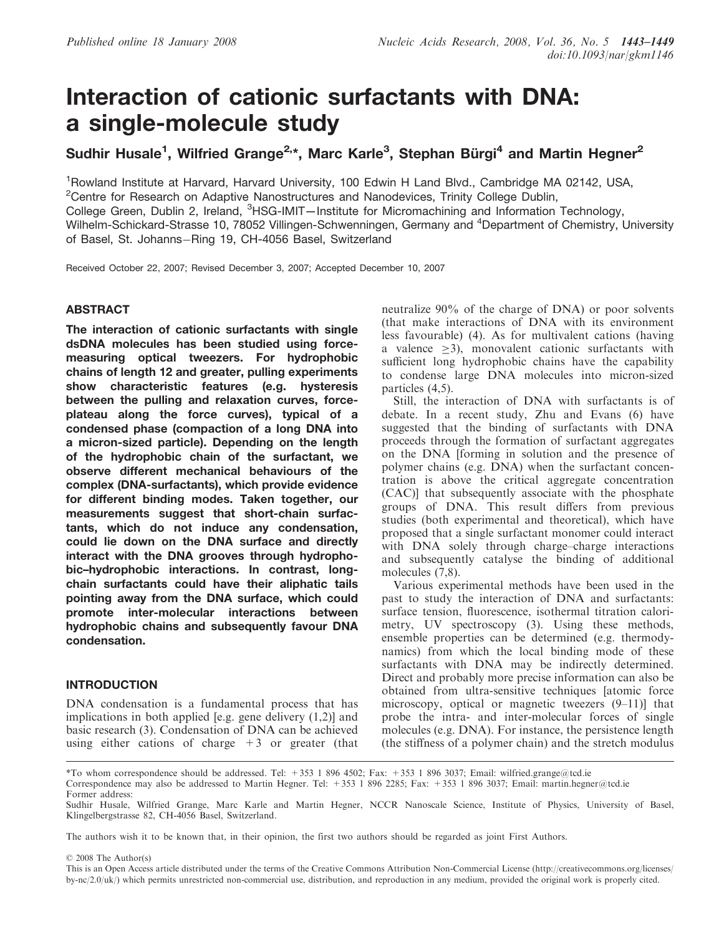# Interaction of cationic surfactants with DNA: a single-molecule study

Sudhir Husale<sup>1</sup>, Wilfried Grange<sup>2,</sup>\*, Marc Karle<sup>3</sup>, Stephan Bürgi<sup>4</sup> and Martin Hegner<sup>2</sup>

<sup>1</sup>Rowland Institute at Harvard, Harvard University, 100 Edwin H Land Blvd., Cambridge MA 02142, USA, <sup>2</sup>Centre for Research on Adaptive Nanostructures and Nanodevices, Trinity College Dublin, College Green, Dublin 2, Ireland, <sup>3</sup>HSG-IMIT-Institute for Micromachining and Information Technology, Wilhelm-Schickard-Strasse 10, 78052 Villingen-Schwenningen, Germany and <sup>4</sup>Department of Chemistry, University of Basel, St. Johanns-Ring 19, CH-4056 Basel, Switzerland

Received October 22, 2007; Revised December 3, 2007; Accepted December 10, 2007

# **ABSTRACT**

The interaction of cationic surfactants with single dsDNA molecules has been studied using forcemeasuring optical tweezers. For hydrophobic chains of length 12 and greater, pulling experiments show characteristic features (e.g. hysteresis between the pulling and relaxation curves, forceplateau along the force curves), typical of a condensed phase (compaction of a long DNA into a micron-sized particle). Depending on the length of the hydrophobic chain of the surfactant, we observe different mechanical behaviours of the complex (DNA-surfactants), which provide evidence for different binding modes. Taken together, our measurements suggest that short-chain surfactants, which do not induce any condensation, could lie down on the DNA surface and directly interact with the DNA grooves through hydrophobic–hydrophobic interactions. In contrast, longchain surfactants could have their aliphatic tails pointing away from the DNA surface, which could promote inter-molecular interactions between hydrophobic chains and subsequently favour DNA condensation.

# INTRODUCTION

DNA condensation is a fundamental process that has implications in both applied [e.g. gene delivery (1,2)] and basic research (3). Condensation of DNA can be achieved using either cations of charge  $+3$  or greater (that

neutralize 90% of the charge of DNA) or poor solvents (that make interactions of DNA with its environment less favourable) (4). As for multivalent cations (having a valence  $\geq$ 3), monovalent cationic surfactants with sufficient long hydrophobic chains have the capability to condense large DNA molecules into micron-sized particles (4,5).

Still, the interaction of DNA with surfactants is of debate. In a recent study, Zhu and Evans (6) have suggested that the binding of surfactants with DNA proceeds through the formation of surfactant aggregates on the DNA [forming in solution and the presence of polymer chains (e.g. DNA) when the surfactant concentration is above the critical aggregate concentration (CAC)] that subsequently associate with the phosphate groups of DNA. This result differs from previous studies (both experimental and theoretical), which have proposed that a single surfactant monomer could interact with DNA solely through charge–charge interactions and subsequently catalyse the binding of additional molecules  $(7,8)$ .

Various experimental methods have been used in the past to study the interaction of DNA and surfactants: surface tension, fluorescence, isothermal titration calorimetry, UV spectroscopy (3). Using these methods, ensemble properties can be determined (e.g. thermodynamics) from which the local binding mode of these surfactants with DNA may be indirectly determined. Direct and probably more precise information can also be obtained from ultra-sensitive techniques [atomic force microscopy, optical or magnetic tweezers (9–11)] that probe the intra- and inter-molecular forces of single molecules (e.g. DNA). For instance, the persistence length (the stiffness of a polymer chain) and the stretch modulus

The authors wish it to be known that, in their opinion, the first two authors should be regarded as joint First Authors.

2008 The Author(s)

<sup>\*</sup>To whom correspondence should be addressed. Tel: +353 1 896 4502; Fax: +353 1 896 3037; Email: wilfried.grange@tcd.ie

Correspondence may also be addressed to Martin Hegner. Tel: +353 1 896 2285; Fax: +353 1 896 3037; Email: martin.hegner@tcd.ie

Former address:

Sudhir Husale, Wilfried Grange, Marc Karle and Martin Hegner, NCCR Nanoscale Science, Institute of Physics, University of Basel, Klingelbergstrasse 82, CH-4056 Basel, Switzerland.

This is an Open Access article distributed under the terms of the Creative Commons Attribution Non-Commercial License (http://creativecommons.org/licenses/  $by-nc/2.0/uk)$  which permits unrestricted non-commercial use, distribution, and reproduction in any medium, provided the original work is properly cited.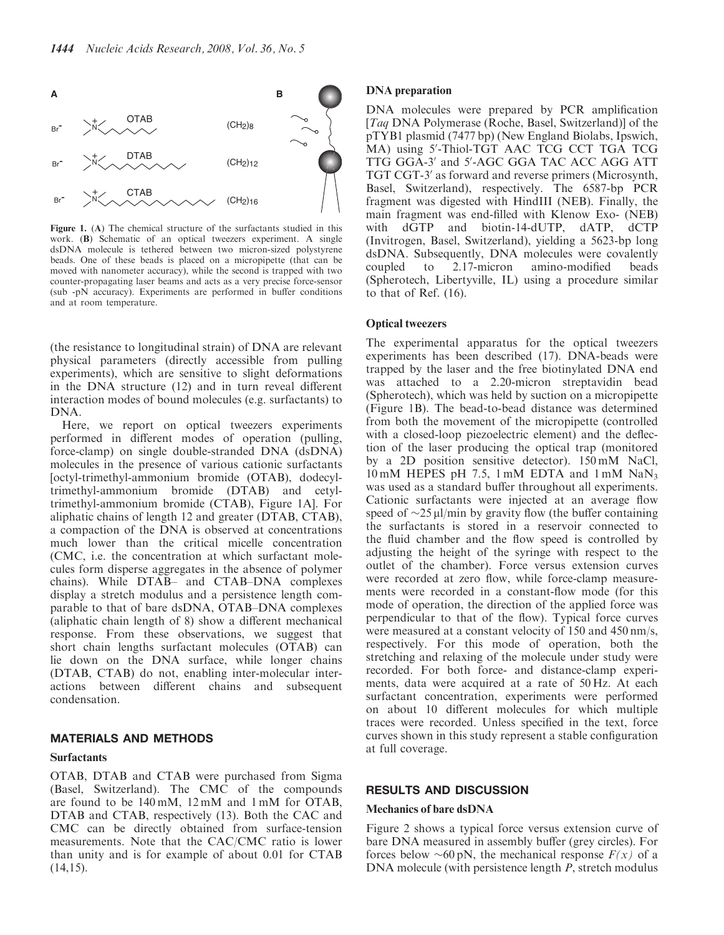

Figure 1. (A) The chemical structure of the surfactants studied in this work. (B) Schematic of an optical tweezers experiment. A single dsDNA molecule is tethered between two micron-sized polystyrene beads. One of these beads is placed on a micropipette (that can be moved with nanometer accuracy), while the second is trapped with two counter-propagating laser beams and acts as a very precise force-sensor (sub -pN accuracy). Experiments are performed in buffer conditions and at room temperature.

(the resistance to longitudinal strain) of DNA are relevant physical parameters (directly accessible from pulling experiments), which are sensitive to slight deformations in the DNA structure (12) and in turn reveal different interaction modes of bound molecules (e.g. surfactants) to DNA.

Here, we report on optical tweezers experiments performed in different modes of operation (pulling, force-clamp) on single double-stranded DNA (dsDNA) molecules in the presence of various cationic surfactants [octyl-trimethyl-ammonium bromide (OTAB), dodecyltrimethyl-ammonium bromide (DTAB) and cetyltrimethyl-ammonium bromide (CTAB), Figure 1A]. For aliphatic chains of length 12 and greater (DTAB, CTAB), a compaction of the DNA is observed at concentrations much lower than the critical micelle concentration (CMC, i.e. the concentration at which surfactant molecules form disperse aggregates in the absence of polymer chains). While DTAB– and CTAB–DNA complexes display a stretch modulus and a persistence length comparable to that of bare dsDNA, OTAB–DNA complexes (aliphatic chain length of 8) show a different mechanical response. From these observations, we suggest that short chain lengths surfactant molecules (OTAB) can lie down on the DNA surface, while longer chains (DTAB, CTAB) do not, enabling inter-molecular interactions between different chains and subsequent condensation.

# MATERIALS AND METHODS

# **Surfactants**

OTAB, DTAB and CTAB were purchased from Sigma (Basel, Switzerland). The CMC of the compounds are found to be 140 mM, 12 mM and 1 mM for OTAB, DTAB and CTAB, respectively (13). Both the CAC and CMC can be directly obtained from surface-tension measurements. Note that the CAC/CMC ratio is lower than unity and is for example of about 0.01 for CTAB  $(14,15)$ .

# DNA preparation

DNA molecules were prepared by PCR amplification [Taq DNA Polymerase (Roche, Basel, Switzerland)] of the pTYB1 plasmid (7477 bp) (New England Biolabs, Ipswich, MA) using 5'-Thiol-TGT AAC TCG CCT TGA TCG TTG GGA-3' and 5'-AGC GGA TAC ACC AGG ATT TGT CGT-3' as forward and reverse primers (Microsynth, Basel, Switzerland), respectively. The 6587-bp PCR fragment was digested with HindIII (NEB). Finally, the main fragment was end-filled with Klenow Exo- (NEB) with dGTP and biotin-14-dUTP, dATP, dCTP (Invitrogen, Basel, Switzerland), yielding a 5623-bp long dsDNA. Subsequently, DNA molecules were covalently coupled to 2.17-micron amino-modified beads (Spherotech, Libertyville, IL) using a procedure similar to that of Ref. (16).

## Optical tweezers

The experimental apparatus for the optical tweezers experiments has been described (17). DNA-beads were trapped by the laser and the free biotinylated DNA end was attached to a 2.20-micron streptavidin bead (Spherotech), which was held by suction on a micropipette (Figure 1B). The bead-to-bead distance was determined from both the movement of the micropipette (controlled with a closed-loop piezoelectric element) and the deflection of the laser producing the optical trap (monitored by a 2D position sensitive detector). 150 mM NaCl,  $10 \text{ mM}$  HEPES pH 7.5, 1 mM EDTA and 1 mM NaN<sub>3</sub> was used as a standard buffer throughout all experiments. Cationic surfactants were injected at an average flow speed of  $\sim$ 25 µl/min by gravity flow (the buffer containing the surfactants is stored in a reservoir connected to the fluid chamber and the flow speed is controlled by adjusting the height of the syringe with respect to the outlet of the chamber). Force versus extension curves were recorded at zero flow, while force-clamp measurements were recorded in a constant-flow mode (for this mode of operation, the direction of the applied force was perpendicular to that of the flow). Typical force curves were measured at a constant velocity of 150 and 450 nm/s, respectively. For this mode of operation, both the stretching and relaxing of the molecule under study were recorded. For both force- and distance-clamp experiments, data were acquired at a rate of 50 Hz. At each surfactant concentration, experiments were performed on about 10 different molecules for which multiple traces were recorded. Unless specified in the text, force curves shown in this study represent a stable configuration at full coverage.

## RESULTS AND DISCUSSION

#### Mechanics of bare dsDNA

Figure 2 shows a typical force versus extension curve of bare DNA measured in assembly buffer (grey circles). For forces below  $\sim 60 \text{ pN}$ , the mechanical response  $F(x)$  of a DNA molecule (with persistence length P, stretch modulus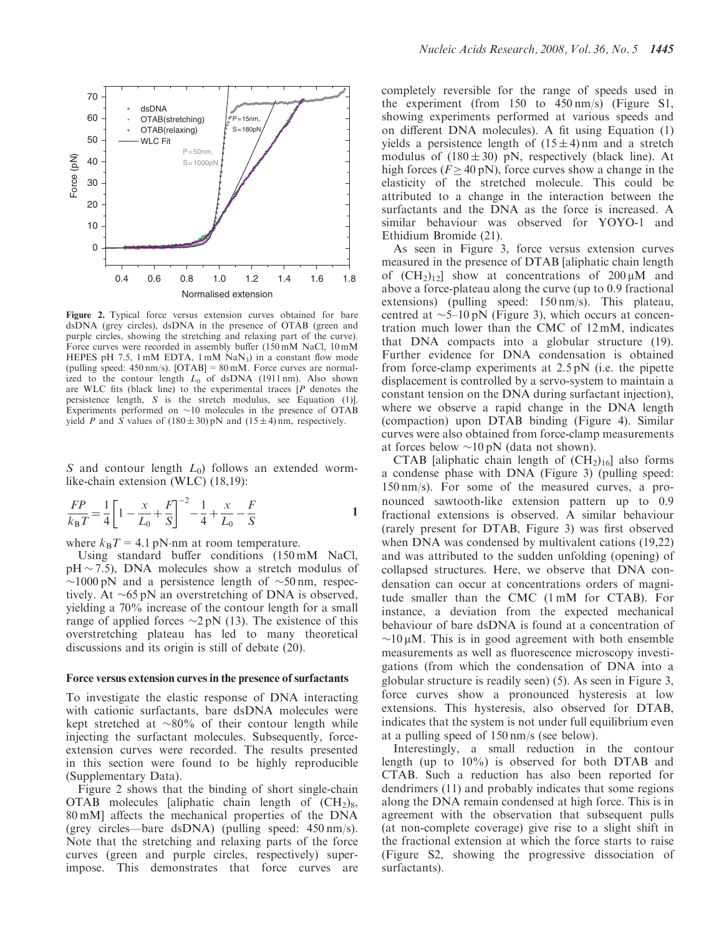

Figure 2. Typical force versus extension curves obtained for bare dsDNA (grey circles), dsDNA in the presence of OTAB (green and purple circles, showing the stretching and relaxing part of the curve). Force curves were recorded in assembly buffer (150 mM NaCl, 10 mM HEPES pH 7.5,  $1 \text{ mM}$  EDTA,  $1 \text{ mM}$  NaN<sub>3</sub>) in a constant flow mode (pulling speed: 450 nm/s). [OTAB] = 80 mM. Force curves are normalized to the contour length  $L_0$  of dsDNA (1911 nm). Also shown are WLC fits (black line) to the experimental traces  $[P]$  denotes the persistence length, S is the stretch modulus, see Equation (1)]. Experiments performed on  $\sim$ 10 molecules in the presence of OTAB yield P and S values of  $(180 \pm 30)$  pN and  $(15 \pm 4)$  nm, respectively.

S and contour length  $L_0$ ) follows an extended wormlike-chain extension (WLC) (18,19):

$$
\frac{FP}{k_B T} = \frac{1}{4} \left[ 1 - \frac{x}{L_0} + \frac{F}{S} \right]^{-2} - \frac{1}{4} + \frac{x}{L_0} - \frac{F}{S}
$$

where  $k_{\text{B}}T = 4.1 \text{ pN-nm}$  at room temperature.

Using standard buffer conditions (150 mM NaCl,  $pH \sim 7.5$ ), DNA molecules show a stretch modulus of  $\sim$ 1000 pN and a persistence length of  $\sim$ 50 nm, respectively. At  $\sim 65 \text{ pN}$  an overstretching of DNA is observed, yielding a 70% increase of the contour length for a small range of applied forces  $\sim$ 2 pN (13). The existence of this overstretching plateau has led to many theoretical discussions and its origin is still of debate (20).

#### Force versus extension curves in the presence of surfactants

To investigate the elastic response of DNA interacting with cationic surfactants, bare dsDNA molecules were kept stretched at  $\sim 80\%$  of their contour length while injecting the surfactant molecules. Subsequently, forceextension curves were recorded. The results presented in this section were found to be highly reproducible (Supplementary Data).

Figure 2 shows that the binding of short single-chain OTAB molecules [aliphatic chain length of  $(CH<sub>2</sub>)<sub>8</sub>$ , 80 mM] affects the mechanical properties of the DNA (grey circles—bare dsDNA) (pulling speed: 450 nm/s). Note that the stretching and relaxing parts of the force curves (green and purple circles, respectively) superimpose. This demonstrates that force curves are completely reversible for the range of speeds used in the experiment (from 150 to 450 nm/s) (Figure S1, showing experiments performed at various speeds and on different DNA molecules). A fit using Equation (1) yields a persistence length of  $(15 \pm 4)$  nm and a stretch modulus of  $(180 \pm 30)$  pN, respectively (black line). At high forces ( $F \ge 40$  pN), force curves show a change in the elasticity of the stretched molecule. This could be attributed to a change in the interaction between the surfactants and the DNA as the force is increased. A similar behaviour was observed for YOYO-1 and Ethidium Bromide (21).

As seen in Figure 3, force versus extension curves measured in the presence of DTAB [aliphatic chain length of  $(CH_2)_{12}$  show at concentrations of  $200 \mu M$  and above a force-plateau along the curve (up to 0.9 fractional extensions) (pulling speed: 150 nm/s). This plateau, centred at  $\sim$ 5–10 pN (Figure 3), which occurs at concentration much lower than the CMC of 12 mM, indicates that DNA compacts into a globular structure (19). Further evidence for DNA condensation is obtained from force-clamp experiments at 2.5 pN (i.e. the pipette displacement is controlled by a servo-system to maintain a constant tension on the DNA during surfactant injection), where we observe a rapid change in the DNA length (compaction) upon DTAB binding (Figure 4). Similar curves were also obtained from force-clamp measurements at forces below  $\sim 10 \text{ pN}$  (data not shown).

CTAB [aliphatic chain length of  $(CH<sub>2</sub>)<sub>16</sub>$ ] also forms a condense phase with DNA (Figure 3) (pulling speed: 150 nm/s). For some of the measured curves, a pronounced sawtooth-like extension pattern up to 0.9 fractional extensions is observed. A similar behaviour (rarely present for DTAB, Figure 3) was first observed when DNA was condensed by multivalent cations (19,22) and was attributed to the sudden unfolding (opening) of collapsed structures. Here, we observe that DNA condensation can occur at concentrations orders of magnitude smaller than the CMC (1 mM for CTAB). For instance, a deviation from the expected mechanical behaviour of bare dsDNA is found at a concentration of  $\sim$ 10  $\mu$ M. This is in good agreement with both ensemble measurements as well as fluorescence microscopy investigations (from which the condensation of DNA into a globular structure is readily seen) (5). As seen in Figure 3, force curves show a pronounced hysteresis at low extensions. This hysteresis, also observed for DTAB, indicates that the system is not under full equilibrium even at a pulling speed of 150 nm/s (see below).

Interestingly, a small reduction in the contour length (up to 10%) is observed for both DTAB and CTAB. Such a reduction has also been reported for dendrimers (11) and probably indicates that some regions along the DNA remain condensed at high force. This is in agreement with the observation that subsequent pulls (at non-complete coverage) give rise to a slight shift in the fractional extension at which the force starts to raise (Figure S2, showing the progressive dissociation of surfactants).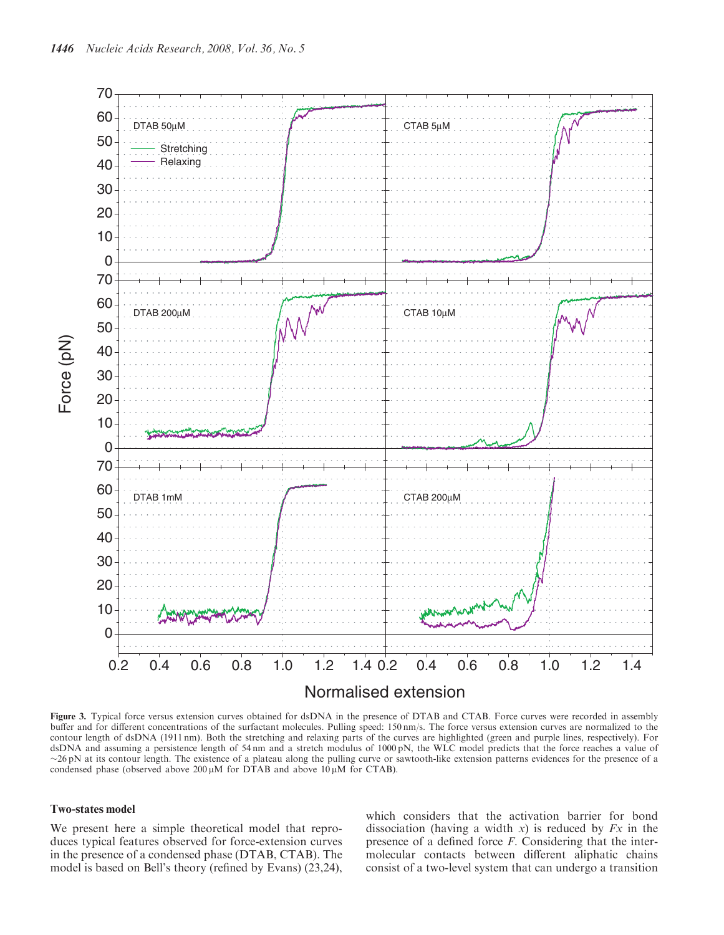

Figure 3. Typical force versus extension curves obtained for dsDNA in the presence of DTAB and CTAB. Force curves were recorded in assembly buffer and for different concentrations of the surfactant molecules. Pulling speed: 150 nm/s. The force versus extension curves are normalized to the contour length of dsDNA (1911 nm). Both the stretching and relaxing parts of the curves are highlighted (green and purple lines, respectively). For dsDNA and assuming a persistence length of 54 nm and a stretch modulus of 1000 pN, the WLC model predicts that the force reaches a value of  $\sim$ 26 pN at its contour length. The existence of a plateau along the pulling curve or sawtooth-like extension patterns evidences for the presence of a condensed phase (observed above 200  $\mu$ M for DTAB and above 10  $\mu$ M for CTAB).

## Two-states model

We present here a simple theoretical model that reproduces typical features observed for force-extension curves in the presence of a condensed phase (DTAB, CTAB). The model is based on Bell's theory (refined by Evans) (23,24),

which considers that the activation barrier for bond dissociation (having a width x) is reduced by  $Fx$  in the presence of a defined force F. Considering that the intermolecular contacts between different aliphatic chains consist of a two-level system that can undergo a transition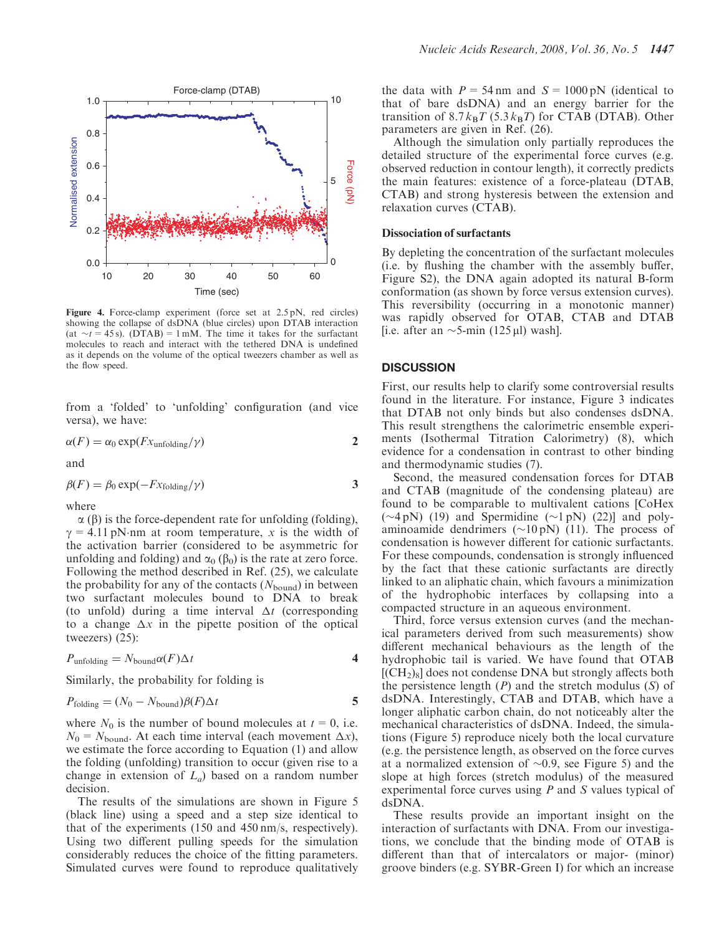

Figure 4. Force-clamp experiment (force set at 2.5 pN, red circles) showing the collapse of dsDNA (blue circles) upon DTAB interaction (at  $\sim t = 45$  s). (DTAB) = 1 mM. The time it takes for the surfactant molecules to reach and interact with the tethered DNA is undefined as it depends on the volume of the optical tweezers chamber as well as the flow speed.

from a 'folded' to 'unfolding' configuration (and vice versa), we have:

$$
\alpha(F) = \alpha_0 \exp(Fx_{\text{unfolding}}/\gamma)
$$

and

$$
\beta(F) = \beta_0 \exp(-Fx_{\text{folding}}/\gamma) \tag{3}
$$

where

 $\alpha$  ( $\beta$ ) is the force-dependent rate for unfolding (folding),  $\gamma = 4.11$  pN·nm at room temperature, x is the width of the activation barrier (considered to be asymmetric for unfolding and folding) and  $\alpha_0$  ( $\beta_0$ ) is the rate at zero force. Following the method described in Ref. (25), we calculate the probability for any of the contacts  $(N_{\text{bound}})$  in between two surfactant molecules bound to DNA to break (to unfold) during a time interval  $\Delta t$  (corresponding to a change  $\Delta x$  in the pipette position of the optical tweezers) (25):

$$
P_{\text{unfolding}} = N_{\text{bound}} \alpha(F) \Delta t
$$

Similarly, the probability for folding is

$$
P_{\text{folding}} = (N_0 - N_{\text{bound}})\beta(F)\Delta t
$$

where  $N_0$  is the number of bound molecules at  $t = 0$ , i.e.  $N_0 = N_{bound}$ . At each time interval (each movement  $\Delta x$ ), we estimate the force according to Equation (1) and allow the folding (unfolding) transition to occur (given rise to a change in extension of  $L_a$ ) based on a random number decision.

The results of the simulations are shown in Figure 5 (black line) using a speed and a step size identical to that of the experiments (150 and 450 nm/s, respectively). Using two different pulling speeds for the simulation considerably reduces the choice of the fitting parameters. Simulated curves were found to reproduce qualitatively the data with  $P = 54$  nm and  $S = 1000$  pN (identical to that of bare dsDNA) and an energy barrier for the transition of  $8.7 k_B T$  (5.3 k<sub>B</sub>T) for CTAB (DTAB). Other parameters are given in Ref. (26).

Although the simulation only partially reproduces the detailed structure of the experimental force curves (e.g. observed reduction in contour length), it correctly predicts the main features: existence of a force-plateau (DTAB, CTAB) and strong hysteresis between the extension and relaxation curves (CTAB).

# Dissociation of surfactants

By depleting the concentration of the surfactant molecules (i.e. by flushing the chamber with the assembly buffer, Figure S2), the DNA again adopted its natural B-form conformation (as shown by force versus extension curves). This reversibility (occurring in a monotonic manner) was rapidly observed for OTAB, CTAB and DTAB [i.e. after an  $\sim$ 5-min (125 µl) wash].

# **DISCUSSION**

First, our results help to clarify some controversial results found in the literature. For instance, Figure 3 indicates that DTAB not only binds but also condenses dsDNA. This result strengthens the calorimetric ensemble experiments (Isothermal Titration Calorimetry) (8), which evidence for a condensation in contrast to other binding and thermodynamic studies (7).

Second, the measured condensation forces for DTAB and CTAB (magnitude of the condensing plateau) are found to be comparable to multivalent cations [CoHex  $(\sim 4 \text{ pN})$  (19) and Spermidine  $(\sim 1 \text{ pN})$  (22)] and polyaminoamide dendrimers  $(\sim 10 \text{ pN})$  (11). The process of condensation is however different for cationic surfactants. For these compounds, condensation is strongly influenced by the fact that these cationic surfactants are directly linked to an aliphatic chain, which favours a minimization of the hydrophobic interfaces by collapsing into a compacted structure in an aqueous environment.

Third, force versus extension curves (and the mechanical parameters derived from such measurements) show different mechanical behaviours as the length of the hydrophobic tail is varied. We have found that OTAB  $[({\rm CH}_2)_8]$  does not condense DNA but strongly affects both the persistence length  $(P)$  and the stretch modulus  $(S)$  of dsDNA. Interestingly, CTAB and DTAB, which have a longer aliphatic carbon chain, do not noticeably alter the mechanical characteristics of dsDNA. Indeed, the simulations (Figure 5) reproduce nicely both the local curvature (e.g. the persistence length, as observed on the force curves at a normalized extension of  $\sim 0.9$ , see Figure 5) and the slope at high forces (stretch modulus) of the measured experimental force curves using  $P$  and  $S$  values typical of dsDNA.

These results provide an important insight on the interaction of surfactants with DNA. From our investigations, we conclude that the binding mode of OTAB is different than that of intercalators or major- (minor) groove binders (e.g. SYBR-Green I) for which an increase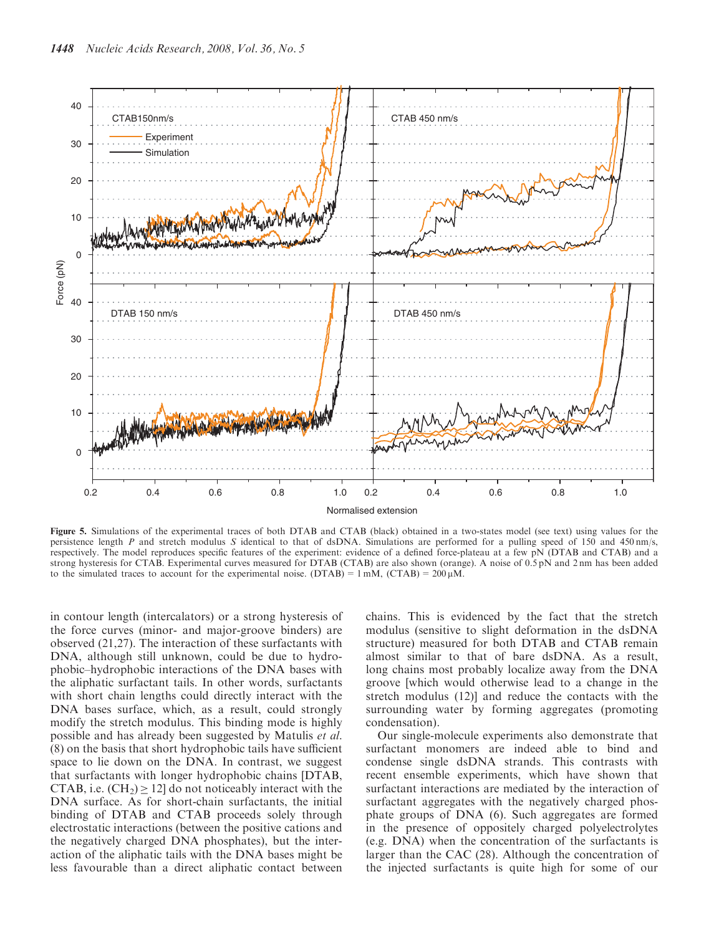

Figure 5. Simulations of the experimental traces of both DTAB and CTAB (black) obtained in a two-states model (see text) using values for the persistence length P and stretch modulus S identical to that of dsDNA. Simulations are performed for a pulling speed of 150 and 450 nm/s, respectively. The model reproduces specific features of the experiment: evidence of a defined force-plateau at a few pN (DTAB and CTAB) and a strong hysteresis for CTAB. Experimental curves measured for DTAB (CTAB) are also shown (orange). A noise of 0.5 pN and 2 nm has been added to the simulated traces to account for the experimental noise. (DTAB) =  $1 \text{ mM}$ , (CTAB) =  $200 \mu \text{M}$ .

in contour length (intercalators) or a strong hysteresis of the force curves (minor- and major-groove binders) are observed (21,27). The interaction of these surfactants with DNA, although still unknown, could be due to hydrophobic–hydrophobic interactions of the DNA bases with the aliphatic surfactant tails. In other words, surfactants with short chain lengths could directly interact with the DNA bases surface, which, as a result, could strongly modify the stretch modulus. This binding mode is highly possible and has already been suggested by Matulis et al. (8) on the basis that short hydrophobic tails have sufficient space to lie down on the DNA. In contrast, we suggest that surfactants with longer hydrophobic chains [DTAB, CTAB, i.e.  $(CH_2) \geq 12$ ] do not noticeably interact with the DNA surface. As for short-chain surfactants, the initial binding of DTAB and CTAB proceeds solely through electrostatic interactions (between the positive cations and the negatively charged DNA phosphates), but the interaction of the aliphatic tails with the DNA bases might be less favourable than a direct aliphatic contact between

chains. This is evidenced by the fact that the stretch modulus (sensitive to slight deformation in the dsDNA structure) measured for both DTAB and CTAB remain almost similar to that of bare dsDNA. As a result, long chains most probably localize away from the DNA groove [which would otherwise lead to a change in the stretch modulus (12)] and reduce the contacts with the surrounding water by forming aggregates (promoting condensation).

Our single-molecule experiments also demonstrate that surfactant monomers are indeed able to bind and condense single dsDNA strands. This contrasts with recent ensemble experiments, which have shown that surfactant interactions are mediated by the interaction of surfactant aggregates with the negatively charged phosphate groups of DNA (6). Such aggregates are formed in the presence of oppositely charged polyelectrolytes (e.g. DNA) when the concentration of the surfactants is larger than the CAC (28). Although the concentration of the injected surfactants is quite high for some of our